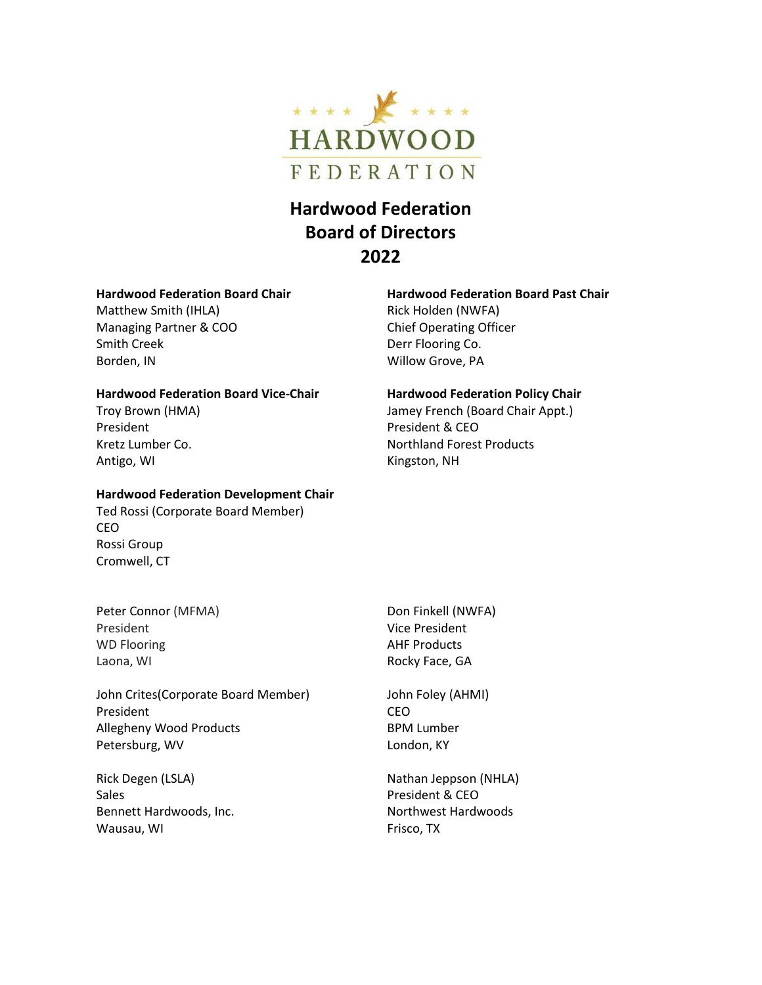

# **Hardwood Federation Board of Directors 2022**

## **Hardwood Federation Board Chair**

Matthew Smith (IHLA) Managing Partner & COO Smith Creek Borden, IN

#### **Hardwood Federation Board Vice-Chair**

Troy Brown (HMA) President Kretz Lumber Co. Antigo, WI

#### **Hardwood Federation Development Chair**

Ted Rossi (Corporate Board Member) CEO Rossi Group Cromwell, CT

Peter Connor (MFMA) President WD Flooring Laona, WI

John Crites(Corporate Board Member) President Allegheny Wood Products Petersburg, WV

Rick Degen (LSLA) Sales Bennett Hardwoods, Inc. Wausau, WI

**Hardwood Federation Board Past Chair** Rick Holden (NWFA) Chief Operating Officer Derr Flooring Co. Willow Grove, PA

### **Hardwood Federation Policy Chair**

Jamey French (Board Chair Appt.) President & CEO Northland Forest Products Kingston, NH

Don Finkell (NWFA) Vice President AHF Products Rocky Face, GA

John Foley (AHMI) CEO BPM Lumber London, KY

Nathan Jeppson (NHLA) President & CEO Northwest Hardwoods Frisco, TX